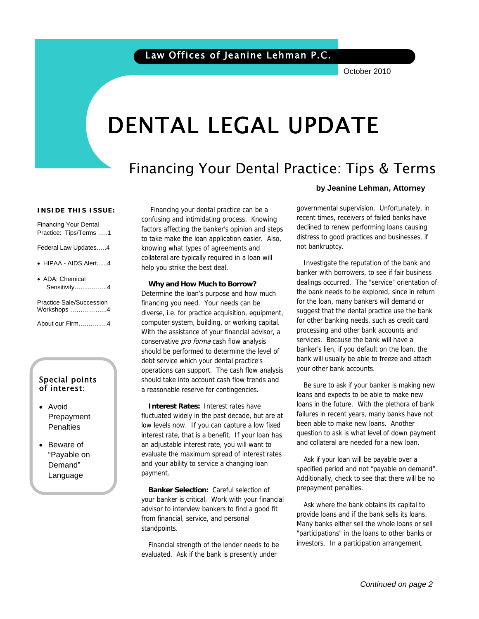October 2010

# DENTAL LEGAL UPDATE

# Financing Your Dental Practice: Tips & Terms

#### **INSIDE THIS ISSUE:**

Financing Your Dental Practice: Tips/Terms …..1

Federal Law Updates…..4

- HIPAA AIDS Alert......4
- ADA: Chemical Sensitivity….....……...4

Practice Sale/Succession Workshops ……………...4

About our Firm.………….4

## Special points of interest:

- Avoid Prepayment **Penalties**
- Beware of "Payable on Demand" Language

 Financing your dental practice can be a confusing and intimidating process. Knowing factors affecting the banker's opinion and steps to take make the loan application easier. Also, knowing what types of agreements and collateral are typically required in a loan will help you strike the best deal.

**Why and How Much to Borrow?**  Determine the loan's purpose and how much financing you need. Your needs can be diverse, i.e. for practice acquisition, equipment, computer system, building, or working capital. With the assistance of your financial advisor, a conservative *pro forma* cash flow analysis should be performed to determine the level of debt service which your dental practice's operations can support. The cash flow analysis should take into account cash flow trends and a reasonable reserve for contingencies.

**Interest Rates:** Interest rates have fluctuated widely in the past decade, but are at low levels now. If you can capture a low fixed interest rate, that is a benefit. If your loan has an adjustable interest rate, you will want to evaluate the maximum spread of interest rates and your ability to service a changing loan payment.

**Banker Selection:** Careful selection of your banker is critical. Work with your financial advisor to interview bankers to find a good fit from financial, service, and personal standpoints.

Financial strength of the lender needs to be evaluated. Ask if the bank is presently under

#### **by Jeanine Lehman, Attorney**

governmental supervision. Unfortunately, in recent times, receivers of failed banks have declined to renew performing loans causing distress to good practices and businesses, if not bankruptcy.

Investigate the reputation of the bank and banker with borrowers, to see if fair business dealings occurred. The "service" orientation of the bank needs to be explored, since in return for the loan, many bankers will demand or suggest that the dental practice use the bank for other banking needs, such as credit card processing and other bank accounts and services. Because the bank will have a banker's lien, if you default on the loan, the bank will usually be able to freeze and attach your other bank accounts.

Be sure to ask if your banker is making new loans and expects to be able to make new loans in the future. With the plethora of bank failures in recent years, many banks have not been able to make new loans. Another question to ask is what level of down payment and collateral are needed for a new loan.

Ask if your loan will be payable over a specified period and not "payable on demand". Additionally, check to see that there will be no prepayment penalties.

Ask where the bank obtains its capital to provide loans and if the bank sells its loans. Many banks either sell the whole loans or sell "participations" in the loans to other banks or investors. In a participation arrangement,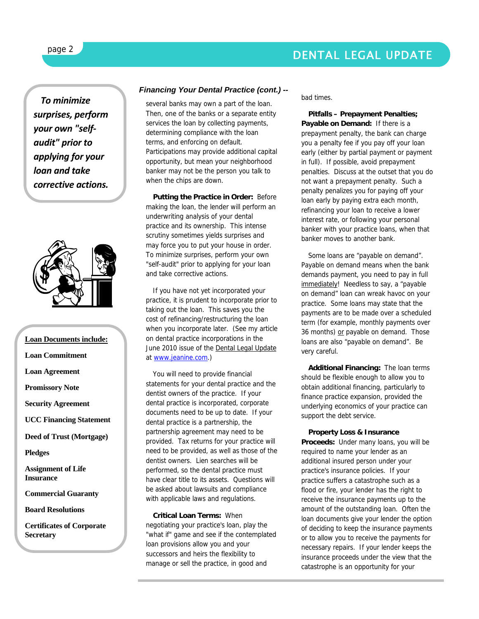## DENTAL LEGAL UPDATE

*To minimize surprises, perform your own "self‐ audit" prior to applying for your loan and take corrective actions.*



**Loan Documents include: Loan Commitment Loan Agreement Promissory Note Security Agreement UCC Financing Statement Deed of Trust (Mortgage) Pledges Assignment of Life Insurance Commercial Guaranty** 

**Board Resolutions** 

**Certificates of Corporate Secretary** 

## *Financing Your Dental Practice (cont.) --*

several banks may own a part of the loan. Then, one of the banks or a separate entity services the loan by collecting payments, determining compliance with the loan terms, and enforcing on default. Participations may provide additional capital opportunity, but mean your neighborhood banker may not be the person you talk to when the chips are down.

**Putting the Practice in Order:** Before making the loan, the lender will perform an underwriting analysis of your dental practice and its ownership. This intense scrutiny sometimes yields surprises and may force you to put your house in order. To minimize surprises, perform your own "self-audit" prior to applying for your loan and take corrective actions.

If you have not yet incorporated your practice, it is prudent to incorporate prior to taking out the loan. This saves you the cost of refinancing/restructuring the loan when you incorporate later. (See my article on dental practice incorporations in the June 2010 issue of the Dental Legal Update at www.jeanine.com.)

You will need to provide financial statements for your dental practice and the dentist owners of the practice. If your dental practice is incorporated, corporate documents need to be up to date. If your dental practice is a partnership, the partnership agreement may need to be provided. Tax returns for your practice will need to be provided, as well as those of the dentist owners. Lien searches will be performed, so the dental practice must have clear title to its assets. Questions will be asked about lawsuits and compliance with applicable laws and regulations.

**Critical Loan Terms:** When negotiating your practice's loan, play the "what if" game and see if the contemplated loan provisions allow you and your successors and heirs the flexibility to manage or sell the practice, in good and

bad times.

**Pitfalls – Prepayment Penalties; Payable on Demand:** If there is a prepayment penalty, the bank can charge you a penalty fee if you pay off your loan early (either by partial payment or payment in full). If possible, avoid prepayment penalties. Discuss at the outset that you do not want a prepayment penalty. Such a penalty penalizes you for paying off your loan early by paying extra each month, refinancing your loan to receive a lower interest rate, or following your personal banker with your practice loans, when that banker moves to another bank.

Some loans are "payable on demand". Payable on demand means when the bank demands payment, you need to pay in full immediately! Needless to say, a "payable on demand" loan can wreak havoc on your practice. Some loans may state that the payments are to be made over a scheduled term (for example, monthly payments over 36 months) or payable on demand. Those loans are also "payable on demand". Be very careful.

**Additional Financing:** The loan terms should be flexible enough to allow you to obtain additional financing, particularly to finance practice expansion, provided the underlying economics of your practice can support the debt service.

#### **Property Loss & Insurance**

**Proceeds:** Under many loans, you will be required to name your lender as an additional insured person under your practice's insurance policies. If your practice suffers a catastrophe such as a flood or fire, your lender has the right to receive the insurance payments up to the amount of the outstanding loan. Often the loan documents give your lender the option of deciding to keep the insurance payments or to allow you to receive the payments for necessary repairs. If your lender keeps the insurance proceeds under the view that the catastrophe is an opportunity for your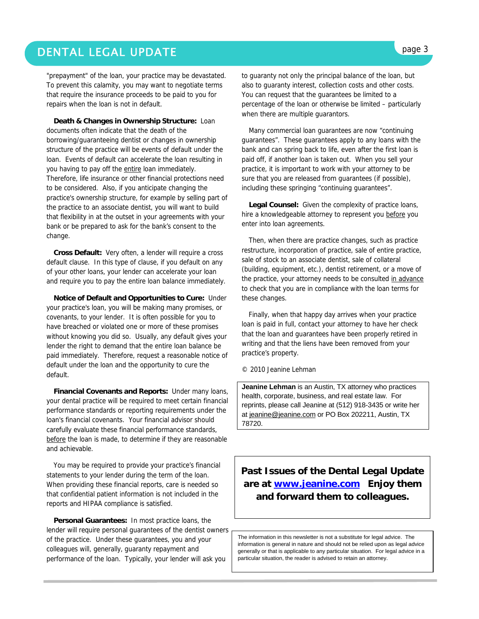## DENTAL LEGAL UPDATE **page 3**

"prepayment" of the loan, your practice may be devastated. To prevent this calamity, you may want to negotiate terms that require the insurance proceeds to be paid to you for repairs when the loan is not in default.

**Death & Changes in Ownership Structure:** Loan documents often indicate that the death of the borrowing/guaranteeing dentist or changes in ownership structure of the practice will be events of default under the loan. Events of default can accelerate the loan resulting in you having to pay off the entire loan immediately. Therefore, life insurance or other financial protections need to be considered. Also, if you anticipate changing the practice's ownership structure, for example by selling part of the practice to an associate dentist, you will want to build that flexibility in at the outset in your agreements with your bank or be prepared to ask for the bank's consent to the change.

**Cross Default:** Very often, a lender will require a cross default clause. In this type of clause, if you default on any of your other loans, your lender can accelerate your loan and require you to pay the entire loan balance immediately.

**Notice of Default and Opportunities to Cure:** Under your practice's loan, you will be making many promises, or covenants, to your lender. It is often possible for you to have breached or violated one or more of these promises without knowing you did so. Usually, any default gives your lender the right to demand that the entire loan balance be paid immediately. Therefore, request a reasonable notice of default under the loan and the opportunity to cure the default.

**Financial Covenants and Reports:** Under many loans, your dental practice will be required to meet certain financial performance standards or reporting requirements under the loan's financial covenants. Your financial advisor should carefully evaluate these financial performance standards, before the loan is made, to determine if they are reasonable and achievable.

You may be required to provide your practice's financial statements to your lender during the term of the loan. When providing these financial reports, care is needed so that confidential patient information is not included in the reports and HIPAA compliance is satisfied.

**Personal Guarantees:** In most practice loans, the lender will require personal guarantees of the dentist owners of the practice. Under these guarantees, you and your colleagues will, generally, guaranty repayment and performance of the loan. Typically, your lender will ask you

to guaranty not only the principal balance of the loan, but also to guaranty interest, collection costs and other costs. You can request that the guarantees be limited to a percentage of the loan or otherwise be limited – particularly when there are multiple guarantors.

Many commercial loan guarantees are now "continuing guarantees". These guarantees apply to any loans with the bank and can spring back to life, even after the first loan is paid off, if another loan is taken out. When you sell your practice, it is important to work with your attorney to be sure that you are released from guarantees (if possible), including these springing "continuing guarantees".

**Legal Counsel:** Given the complexity of practice loans, hire a knowledgeable attorney to represent you before you enter into loan agreements.

Then, when there are practice changes, such as practice restructure, incorporation of practice, sale of entire practice, sale of stock to an associate dentist, sale of collateral (building, equipment, etc.), dentist retirement, or a move of the practice, your attorney needs to be consulted in advance to check that you are in compliance with the loan terms for these changes.

Finally, when that happy day arrives when your practice loan is paid in full, contact your attorney to have her check that the loan and guarantees have been properly retired in writing and that the liens have been removed from your practice's property.

© 2010 Jeanine Lehman

**Jeanine Lehman** is an Austin, TX attorney who practices health, corporate, business, and real estate law. For reprints, please call Jeanine at (512) 918-3435 or write her at jeanine@jeanine.com or PO Box 202211, Austin, TX 78720.

**Past Issues of the Dental Legal Update are at www.jeanine.com Enjoy them and forward them to colleagues.** 

The information in this newsletter is not a substitute for legal advice. The information is general in nature and should not be relied upon as legal advice generally or that is applicable to any particular situation. For legal advice in a particular situation, the reader is advised to retain an attorney.